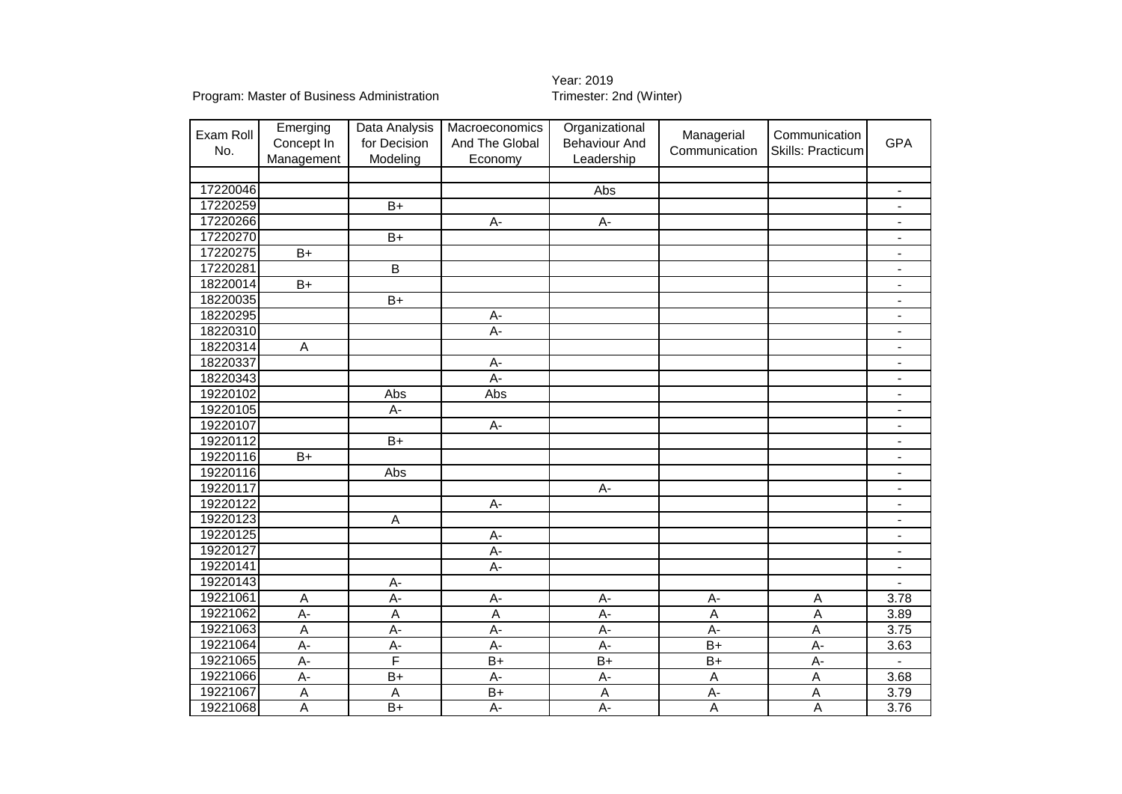| Exam Roll | Emerging        | Data Analysis           | Macroeconomics | Organizational       | Managerial    | Communication     |                              |
|-----------|-----------------|-------------------------|----------------|----------------------|---------------|-------------------|------------------------------|
| No.       | Concept In      | for Decision            | And The Global | <b>Behaviour And</b> | Communication | Skills: Practicum | <b>GPA</b>                   |
|           | Management      | Modeling                | Economy        | Leadership           |               |                   |                              |
|           |                 |                         |                |                      |               |                   |                              |
| 17220046  |                 |                         |                | Abs                  |               |                   |                              |
| 17220259  |                 | $\overline{B+}$         |                |                      |               |                   |                              |
| 17220266  |                 |                         | $\overline{A}$ | $A -$                |               |                   |                              |
| 17220270  |                 | $\overline{B+}$         |                |                      |               |                   |                              |
| 17220275  | $B+$            |                         |                |                      |               |                   | $\blacksquare$               |
| 17220281  |                 | $\overline{B}$          |                |                      |               |                   | $\blacksquare$               |
| 18220014  | $\overline{B+}$ |                         |                |                      |               |                   | $\overline{\phantom{a}}$     |
| 18220035  |                 | $\overline{B+}$         |                |                      |               |                   | $\overline{a}$               |
| 18220295  |                 |                         | A-             |                      |               |                   | $\overline{a}$               |
| 18220310  |                 |                         | A-             |                      |               |                   | $\overline{\phantom{a}}$     |
| 18220314  | A               |                         |                |                      |               |                   | $\blacksquare$               |
| 18220337  |                 |                         | A-             |                      |               |                   | $\blacksquare$               |
| 18220343  |                 |                         | $A -$          |                      |               |                   | $\overline{\phantom{a}}$     |
| 19220102  |                 | Abs                     | Abs            |                      |               |                   | $\qquad \qquad \blacksquare$ |
| 19220105  |                 | А-                      |                |                      |               |                   | $\overline{\phantom{a}}$     |
| 19220107  |                 |                         | A-             |                      |               |                   | $\qquad \qquad \blacksquare$ |
| 19220112  |                 | $\overline{B+}$         |                |                      |               |                   | $\blacksquare$               |
| 19220116  | $\overline{B+}$ |                         |                |                      |               |                   | $\blacksquare$               |
| 19220116  |                 | Abs                     |                |                      |               |                   |                              |
| 19220117  |                 |                         |                | А-                   |               |                   | $\blacksquare$               |
| 19220122  |                 |                         | A-             |                      |               |                   | $\blacksquare$               |
| 19220123  |                 | $\overline{\mathsf{A}}$ |                |                      |               |                   | $\overline{\phantom{a}}$     |
| 19220125  |                 |                         | A-             |                      |               |                   | $\blacksquare$               |
| 19220127  |                 |                         | A-             |                      |               |                   | $\blacksquare$               |
| 19220141  |                 |                         | $A -$          |                      |               |                   | $\blacksquare$               |
| 19220143  |                 | $A-$                    |                |                      |               |                   |                              |
| 19221061  | $\mathsf A$     | $\overline{A}$          | A-             | A-                   | $A -$         | $\mathsf A$       | 3.78                         |
| 19221062  | $\overline{A}$  | $\overline{\mathsf{A}}$ | $\overline{A}$ | $\overline{A}$       | A             | A                 | 3.89                         |
| 19221063  | $\overline{A}$  | A-                      | A-             | A-                   | A-            | A                 | 3.75                         |
| 19221064  | A-              | A-                      | A-             | $\overline{A}$       | $B+$          | A-                | 3.63                         |
| 19221065  | A-              | F                       | $B+$           | $B+$                 | $B+$          | $A-$              |                              |
| 19221066  | A-              | $B+$                    | A-             | A-                   | A             | $\mathsf A$       | 3.68                         |
| 19221067  | $\overline{A}$  | $\mathsf A$             | $B+$           | $\overline{A}$       | A-            | Α                 | 3.79                         |
| 19221068  | A               | $B+$                    | A-             | А-                   | $\sf A$       | A                 | 3.76                         |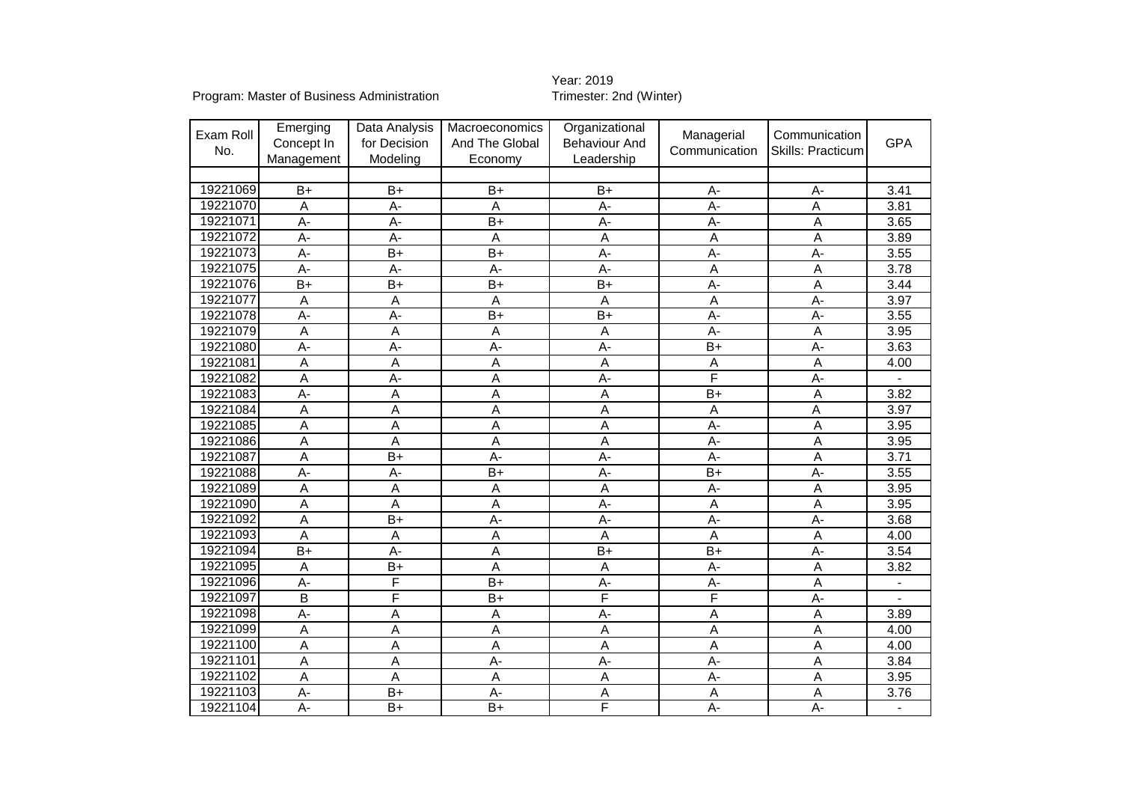Year: 2019<br>Trimester: 2nd (Winter)

Program: Master of Business Administration

| Exam Roll<br>No. | Emerging<br>Concept In<br>Management | Data Analysis<br>for Decision<br>Modeling | Macroeconomics<br>And The Global<br>Economy | Organizational<br><b>Behaviour And</b><br>Leadership | Managerial<br>Communication | Communication<br><b>Skills: Practicum</b> | <b>GPA</b>        |
|------------------|--------------------------------------|-------------------------------------------|---------------------------------------------|------------------------------------------------------|-----------------------------|-------------------------------------------|-------------------|
|                  |                                      |                                           |                                             |                                                      |                             |                                           |                   |
| 19221069         | $B+$                                 | $B+$                                      | $B+$                                        | B+                                                   | $A -$                       | $A -$                                     | 3.41              |
| 19221070         | A                                    | А-                                        | A                                           | A-                                                   | A-                          | A                                         | 3.81              |
| 19221071         | $\overline{A}$                       | A-                                        | $\overline{B+}$                             | $\overline{A}$                                       | $\overline{A}$              | $\overline{A}$                            | 3.65              |
| 19221072         | $\overline{A}$                       | А-                                        | $\overline{\mathsf{A}}$                     | $\overline{A}$                                       | $\overline{A}$              | $\overline{A}$                            | 3.89              |
| 19221073         | $\overline{A}$                       | $\overline{B+}$                           | $\overline{B+}$                             | $A -$                                                | $\overline{A}$              | $\overline{A}$                            | 3.55              |
| 19221075         | $\overline{A}$                       | A-                                        | A-                                          | $\overline{A}$                                       | A                           | A                                         | 3.78              |
| 19221076         | $B+$                                 | $B+$                                      | $B+$                                        | $B+$                                                 | A-                          | A                                         | 3.44              |
| 19221077         | A                                    | Α                                         | $\overline{A}$                              | A                                                    | $\overline{A}$              | A-                                        | 3.97              |
| 19221078         | $\overline{A}$                       | $A -$                                     | $\overline{B+}$                             | $\overline{B+}$                                      | $\overline{A}$              | A-                                        | 3.55              |
| 19221079         | A                                    | A                                         | A                                           | $\overline{A}$                                       | $A -$                       | A                                         | 3.95              |
| 19221080         | A-                                   | $A -$                                     | A-                                          | A-                                                   | $B+$                        | A-                                        | 3.63              |
| 19221081         | A                                    | $\overline{A}$                            | $\overline{A}$                              | $\overline{A}$                                       | $\overline{A}$              | $\overline{A}$                            | 4.00              |
| 19221082         | A                                    | A-                                        | A                                           | $\overline{A}$                                       | F                           | $\overline{A}$                            |                   |
| 19221083         | $\overline{A}$                       | A                                         | A                                           | $\overline{A}$                                       | $B+$                        | A                                         | 3.82              |
| 19221084         | A                                    | A                                         | A                                           | $\overline{A}$                                       | $\overline{A}$              | A                                         | 3.97              |
| 19221085         | A                                    | A                                         | A                                           | $\overline{A}$                                       | $A -$                       | A                                         | 3.95              |
| 19221086         | A                                    | A                                         | A                                           | $\overline{A}$                                       | $A -$                       | A                                         | 3.95              |
| 19221087         | A                                    | $B+$                                      | A-                                          | A-                                                   | $A -$                       | A                                         | 3.71              |
| 19221088         | A-                                   | A-                                        | $B+$                                        | A-                                                   | $B+$                        | A-                                        | 3.55              |
| 19221089         | A                                    | $\overline{A}$                            | $\overline{A}$                              | $\overline{A}$                                       | $A -$                       | A                                         | 3.95              |
| 19221090         | A                                    | A                                         | $\overline{A}$                              | $A -$                                                | $\overline{A}$              | Α                                         | 3.95              |
| 19221092         | Α                                    | $B+$                                      | A-                                          | A-                                                   | $A -$                       | A-                                        | 3.68              |
| 19221093         | A                                    | $\overline{A}$                            | A                                           | $\overline{A}$                                       | A                           | A                                         | 4.00              |
| 19221094         | $B+$                                 | A-                                        | $\overline{A}$                              | $B+$                                                 | $B+$                        | A-                                        | 3.54              |
| 19221095         | $\overline{A}$                       | $\overline{B+}$                           | A                                           | A                                                    | $\overline{A}$ -            | A                                         | 3.82              |
| 19221096         | A-                                   | F                                         | $\overline{B+}$                             | А-                                                   | A-                          | A                                         | $\overline{a}$    |
| 19221097         | $\overline{B}$                       | F                                         | $B+$                                        | F                                                    | F                           | A-                                        |                   |
| 19221098         | A-                                   | A                                         | $\overline{A}$                              | A-                                                   | A                           | A                                         | 3.89              |
| 19221099         | A                                    | Α                                         | $\overline{A}$                              | A                                                    | A                           | A                                         | 4.00              |
| 19221100         | A                                    | Α                                         | $\overline{A}$                              | A                                                    | $\overline{A}$              | A                                         | 4.00              |
| 19221101         | $\overline{A}$                       | A                                         | $\overline{A}$                              | $\overline{A}$                                       | $\overline{A}$              | $\overline{A}$                            | 3.84              |
| 19221102         | A                                    | Α                                         | $\overline{A}$                              | $\overline{A}$                                       | A-                          | A                                         | 3.95              |
| 19221103         | A-                                   | $B+$                                      | $A -$                                       | A                                                    | $\overline{A}$              | A                                         | $\overline{3.76}$ |
| 19221104         | $\overline{A}$ -                     | $B+$                                      | $\overline{B+}$                             | F                                                    | $\overline{A}$              | $\overline{A}$                            |                   |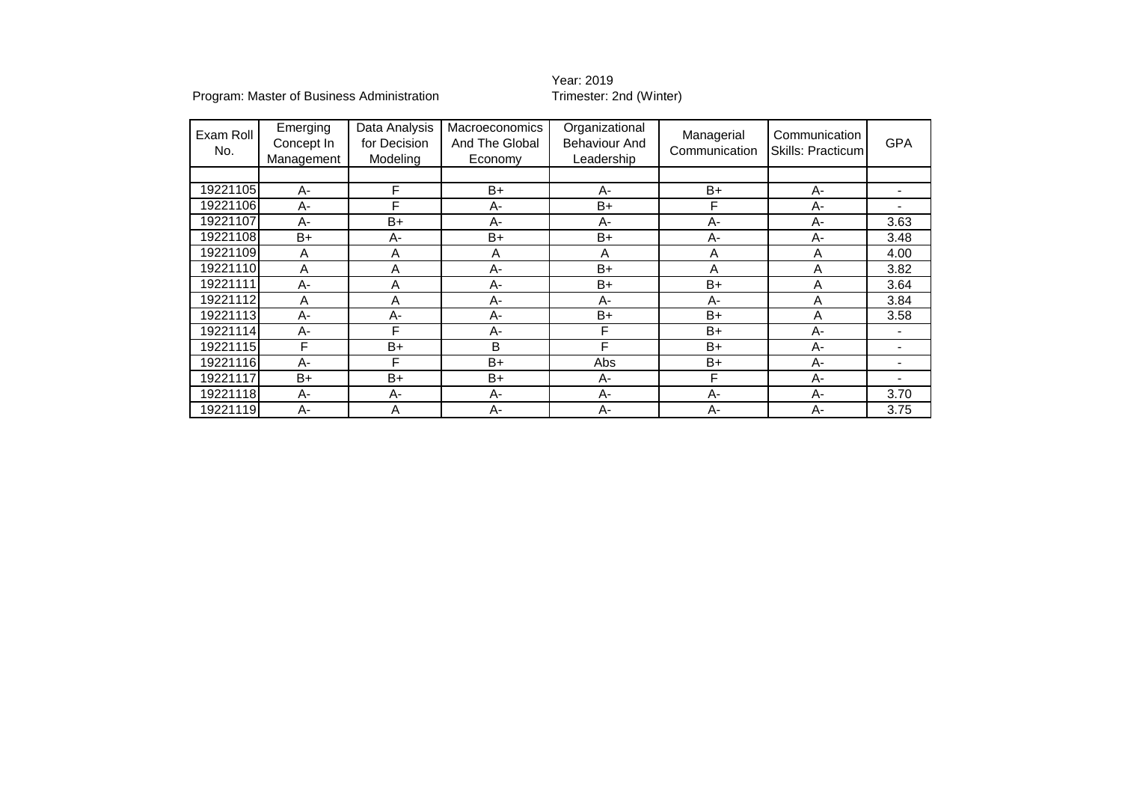### Year: 2019<br>Trimester: 2nd (Winter)

Program: Master of Business Administration

| Exam Roll<br>No. | Emerging<br>Concept In<br>Management | Data Analysis<br>for Decision<br>Modeling | <b>Macroeconomics</b><br>And The Global<br>Economy | Organizational<br><b>Behaviour And</b><br>Leadership | Managerial<br>Communication | Communication<br>Skills: Practicum | <b>GPA</b>               |
|------------------|--------------------------------------|-------------------------------------------|----------------------------------------------------|------------------------------------------------------|-----------------------------|------------------------------------|--------------------------|
|                  |                                      |                                           |                                                    |                                                      |                             |                                    |                          |
| 19221105         | A-                                   | F                                         | $B+$                                               | A-                                                   | $B+$                        | A-                                 |                          |
| 19221106         | $A -$                                | F                                         | $A-$                                               | $B+$                                                 | F                           | A-                                 |                          |
| 19221107         | $A -$                                | $B+$                                      | $A-$                                               | A-                                                   | $A -$                       | A-                                 | 3.63                     |
| 19221108         | B+                                   | А-                                        | B+                                                 | $B+$                                                 | $A -$                       | A-                                 | 3.48                     |
| 19221109         | A                                    | A                                         | A                                                  | A                                                    | A                           | A                                  | 4.00                     |
| 19221110         | A                                    | A                                         | $A-$                                               | $B+$                                                 | Α                           | Α                                  | 3.82                     |
| 19221111         | А-                                   | A                                         | A-                                                 | $B+$                                                 | $B+$                        | A                                  | 3.64                     |
| 19221112         | A                                    | A                                         | A-                                                 | A-                                                   | $A -$                       | Α                                  | 3.84                     |
| 19221113         | A-                                   | $A-$                                      | $A-$                                               | $B+$                                                 | $B+$                        | Α                                  | 3.58                     |
| 19221114         | A-                                   | F                                         | $A-$                                               | F                                                    | $B+$                        | А-                                 | $\overline{\phantom{0}}$ |
| 19221115         | F                                    | B+                                        | B                                                  | F                                                    | $B+$                        | A-                                 | -                        |
| 19221116         | $A -$                                | F                                         | B+                                                 | Abs                                                  | B+                          | A-                                 | -                        |
| 19221117         | B+                                   | $B+$                                      | B+                                                 | A-                                                   | F                           | A-                                 |                          |
| 19221118         | A-                                   | A-                                        | A-                                                 | A-                                                   | A-                          | A-                                 | 3.70                     |
| 19221119         | $A -$                                | A                                         | $A-$                                               | $A-$                                                 | $A -$                       | А-                                 | 3.75                     |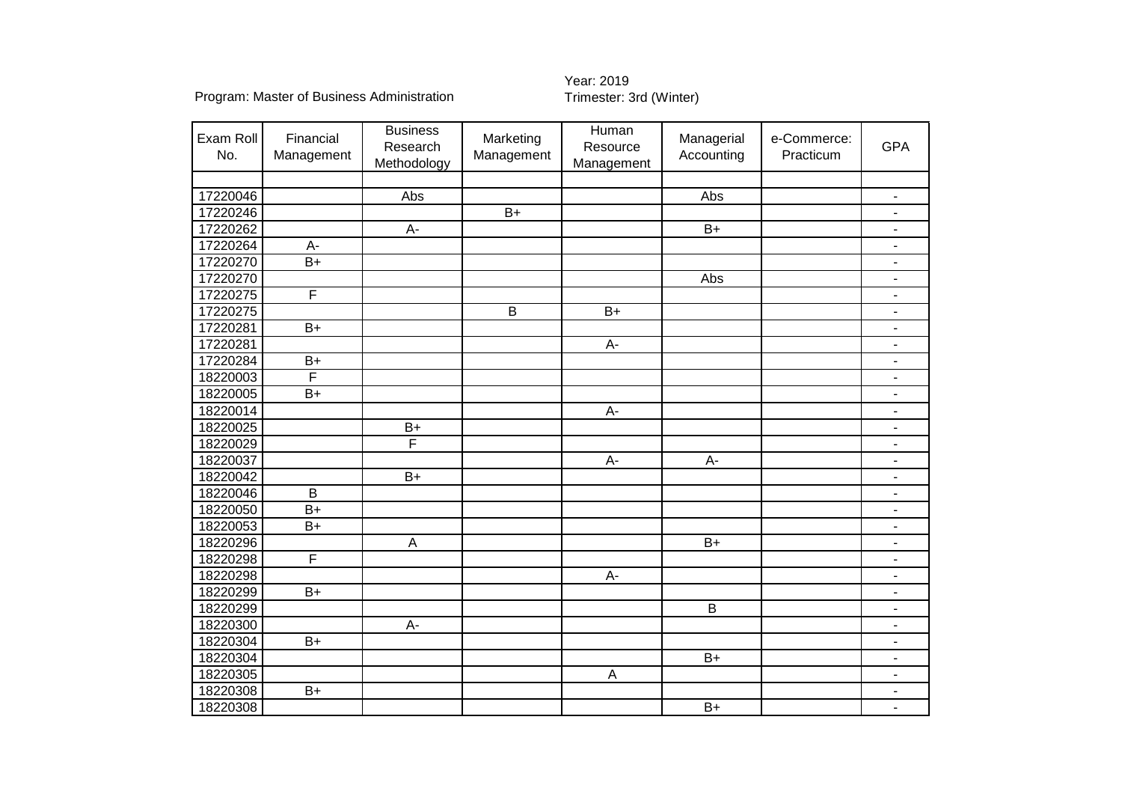| Exam Roll<br>No. | Financial<br>Management | <b>Business</b><br>Research<br>Methodology | Marketing<br>Management | Human<br>Resource<br>Management | Managerial<br>Accounting | e-Commerce:<br>Practicum | <b>GPA</b>                   |
|------------------|-------------------------|--------------------------------------------|-------------------------|---------------------------------|--------------------------|--------------------------|------------------------------|
|                  |                         |                                            |                         |                                 |                          |                          |                              |
| 17220046         |                         | Abs                                        |                         |                                 | Abs                      |                          | $\qquad \qquad \blacksquare$ |
| 17220246         |                         |                                            | $B+$                    |                                 |                          |                          | $\overline{\phantom{m}}$     |
| 17220262         |                         | $A-$                                       |                         |                                 | $B+$                     |                          | $\qquad \qquad \blacksquare$ |
| 17220264         | A-                      |                                            |                         |                                 |                          |                          | $\overline{\phantom{a}}$     |
| 17220270         | $\overline{B+}$         |                                            |                         |                                 |                          |                          | $\overline{\phantom{a}}$     |
| 17220270         |                         |                                            |                         |                                 | Abs                      |                          | $\blacksquare$               |
| 17220275         | $\overline{\mathsf{F}}$ |                                            |                         |                                 |                          |                          | $\blacksquare$               |
| 17220275         |                         |                                            | $\overline{B}$          | $\overline{B+}$                 |                          |                          | $\overline{\phantom{a}}$     |
| 17220281         | $B+$                    |                                            |                         |                                 |                          |                          | $\overline{\phantom{a}}$     |
| 17220281         |                         |                                            |                         | $A-$                            |                          |                          | $\blacksquare$               |
| 17220284         | $\overline{B+}$         |                                            |                         |                                 |                          |                          | $\blacksquare$               |
| 18220003         | F                       |                                            |                         |                                 |                          |                          | $\blacksquare$               |
| 18220005         | $B+$                    |                                            |                         |                                 |                          |                          | $\blacksquare$               |
| 18220014         |                         |                                            |                         | $A-$                            |                          |                          | $\blacksquare$               |
| 18220025         |                         | $B+$                                       |                         |                                 |                          |                          | $\qquad \qquad \blacksquare$ |
| 18220029         |                         | $\overline{F}$                             |                         |                                 |                          |                          | $\overline{\phantom{a}}$     |
| 18220037         |                         |                                            |                         | $\overline{A}$ -                | $\overline{A}$           |                          | $\overline{\phantom{a}}$     |
| 18220042         |                         | $B+$                                       |                         |                                 |                          |                          | $\blacksquare$               |
| 18220046         | B                       |                                            |                         |                                 |                          |                          | $\blacksquare$               |
| 18220050         | $\overline{B+}$         |                                            |                         |                                 |                          |                          | $\blacksquare$               |
| 18220053         | $B+$                    |                                            |                         |                                 |                          |                          | $\blacksquare$               |
| 18220296         |                         | $\boldsymbol{\mathsf{A}}$                  |                         |                                 | $B+$                     |                          | $\overline{\phantom{a}}$     |
| 18220298         | F                       |                                            |                         |                                 |                          |                          | $\blacksquare$               |
| 18220298         |                         |                                            |                         | $A-$                            |                          |                          | ÷,                           |
| 18220299         | $B+$                    |                                            |                         |                                 |                          |                          | $\blacksquare$               |
| 18220299         |                         |                                            |                         |                                 | $\sf B$                  |                          | $\blacksquare$               |
| 18220300         |                         | $A-$                                       |                         |                                 |                          |                          | $\overline{\phantom{m}}$     |
| 18220304         | $B+$                    |                                            |                         |                                 |                          |                          | $\qquad \qquad \blacksquare$ |
| 18220304         |                         |                                            |                         |                                 | $B+$                     |                          | $\blacksquare$               |
| 18220305         |                         |                                            |                         | $\overline{A}$                  |                          |                          | $\blacksquare$               |
| 18220308         | $B+$                    |                                            |                         |                                 |                          |                          |                              |
| 18220308         |                         |                                            |                         |                                 | $B+$                     |                          |                              |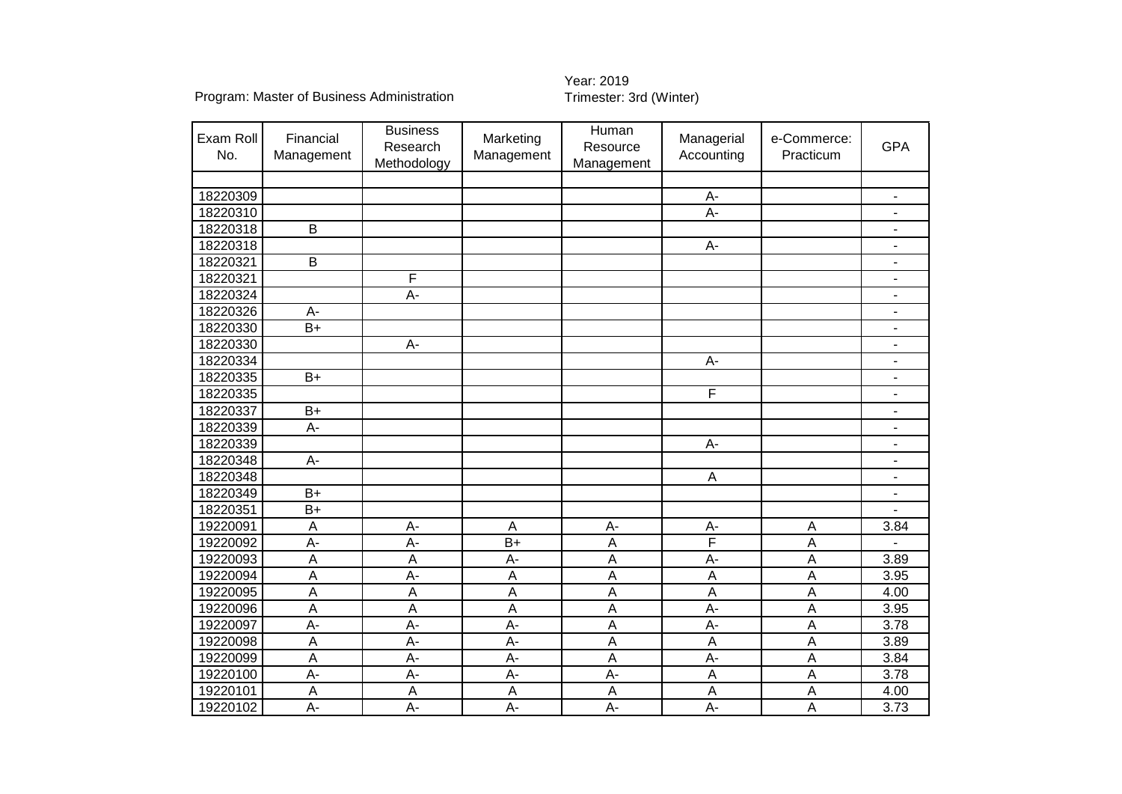| Exam Roll<br>No. | Financial<br>Management | <b>Business</b><br>Research<br>Methodology | Marketing<br>Management   | Human<br>Resource<br>Management | Managerial<br>Accounting | e-Commerce:<br>Practicum | <b>GPA</b>               |
|------------------|-------------------------|--------------------------------------------|---------------------------|---------------------------------|--------------------------|--------------------------|--------------------------|
|                  |                         |                                            |                           |                                 |                          |                          |                          |
| 18220309         |                         |                                            |                           |                                 | A-                       |                          | $\overline{\phantom{a}}$ |
| 18220310         |                         |                                            |                           |                                 | A-                       |                          |                          |
| 18220318         | $\overline{B}$          |                                            |                           |                                 |                          |                          | $\blacksquare$           |
| 18220318         |                         |                                            |                           |                                 | A-                       |                          | $\overline{\phantom{a}}$ |
| 18220321         | $\overline{B}$          |                                            |                           |                                 |                          |                          | $\overline{\phantom{a}}$ |
| 18220321         |                         | F                                          |                           |                                 |                          |                          |                          |
| 18220324         |                         | A-                                         |                           |                                 |                          |                          | $\blacksquare$           |
| 18220326         | $A -$                   |                                            |                           |                                 |                          |                          | $\overline{\phantom{a}}$ |
| 18220330         | $\overline{B+}$         |                                            |                           |                                 |                          |                          | $\blacksquare$           |
| 18220330         |                         | A-                                         |                           |                                 |                          |                          | $\sim$                   |
| 18220334         |                         |                                            |                           |                                 | A-                       |                          | $\blacksquare$           |
| 18220335         | $B+$                    |                                            |                           |                                 |                          |                          |                          |
| 18220335         |                         |                                            |                           |                                 | $\overline{F}$           |                          |                          |
| 18220337         | $B+$                    |                                            |                           |                                 |                          |                          |                          |
| 18220339         | $A -$                   |                                            |                           |                                 |                          |                          | $\overline{\phantom{a}}$ |
| 18220339         |                         |                                            |                           |                                 | A-                       |                          | $\overline{\phantom{a}}$ |
| 18220348         | $A -$                   |                                            |                           |                                 |                          |                          | $\overline{\phantom{a}}$ |
| 18220348         |                         |                                            |                           |                                 | $\overline{A}$           |                          | $\blacksquare$           |
| 18220349         | $B+$                    |                                            |                           |                                 |                          |                          |                          |
| 18220351         | $B+$                    |                                            |                           |                                 |                          |                          |                          |
| 19220091         | $\overline{A}$          | A-                                         | $\boldsymbol{\mathsf{A}}$ | A-                              | A-                       | $\sf A$                  | 3.84                     |
| 19220092         | A-                      | A-                                         | $B+$                      | A                               | F                        | Α                        |                          |
| 19220093         | $\overline{A}$          | A                                          | A-                        | $\overline{A}$                  | $A -$                    | A                        | 3.89                     |
| 19220094         | $\overline{A}$          | A-                                         | $\boldsymbol{\mathsf{A}}$ | $\overline{A}$                  | $\overline{A}$           | $\overline{A}$           | 3.95                     |
| 19220095         | A                       | A                                          | $\boldsymbol{\mathsf{A}}$ | $\overline{A}$                  | $\overline{A}$           | A                        | 4.00                     |
| 19220096         | $\overline{A}$          | A                                          | A                         | $\overline{A}$                  | $\overline{A}$ -         | $\overline{A}$           | 3.95                     |
| 19220097         | $A -$                   | A-                                         | $A -$                     | $\overline{A}$                  | A-                       | $\overline{A}$           | 3.78                     |
| 19220098         | A                       | A-                                         | $A -$                     | A                               | $\overline{A}$           | A                        | 3.89                     |
| 19220099         | $\overline{A}$          | $A -$                                      | $A -$                     | $\overline{A}$                  | $A -$                    | A                        | 3.84                     |
| 19220100         | $A -$                   | A-                                         | $A -$                     | A-                              | $\overline{A}$           | $\overline{A}$           | 3.78                     |
| 19220101         | A                       | A                                          | A                         | A                               | $\overline{A}$           | A                        | 4.00                     |
| 19220102         | A-                      | A-                                         | $A -$                     | A-                              | $A -$                    | A                        | 3.73                     |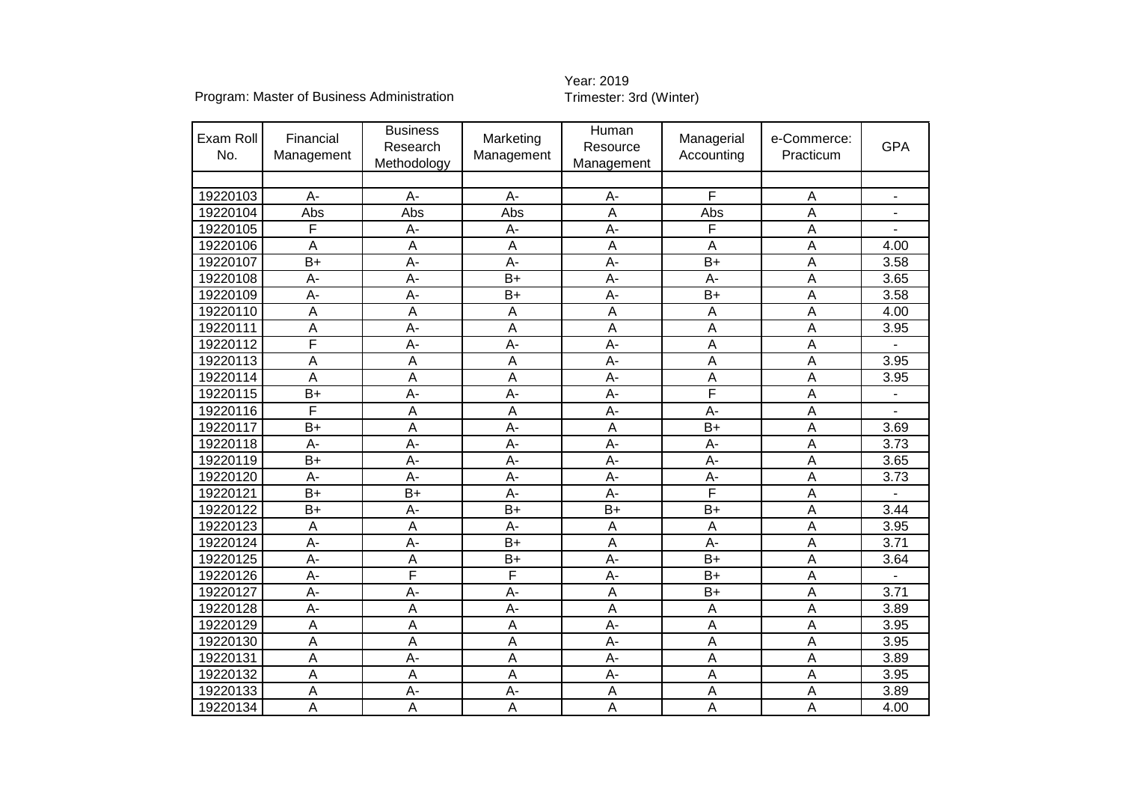| Exam Roll<br>No. | Financial<br>Management | <b>Business</b><br>Research<br>Methodology | Marketing<br>Management | Human<br>Resource<br>Management | Managerial<br>Accounting | e-Commerce:<br>Practicum | <b>GPA</b>               |
|------------------|-------------------------|--------------------------------------------|-------------------------|---------------------------------|--------------------------|--------------------------|--------------------------|
|                  |                         |                                            |                         |                                 |                          |                          |                          |
| 19220103         | A-                      | A-                                         | $A -$                   | $A -$                           | F                        | A                        | $\overline{\phantom{m}}$ |
| 19220104         | Abs                     | Abs                                        | Abs                     | A                               | Abs                      | A                        |                          |
| 19220105         | F                       | A-                                         | $A-$                    | $A -$                           | F                        | A                        |                          |
| 19220106         | A                       | A                                          | A                       | A                               | $\overline{A}$           | Α                        | 4.00                     |
| 19220107         | $B+$                    | A-                                         | A-                      | $A -$                           | $B+$                     | A                        | 3.58                     |
| 19220108         | A-                      | A-                                         | $B+$                    | $A -$<br>Α<br>A-                |                          | 3.65                     |                          |
| 19220109         | A-                      | A-                                         | $B+$                    | $A -$                           | $B+$                     | A                        | 3.58                     |
| 19220110         | A                       | A                                          | A                       | $\overline{A}$                  | $\overline{A}$           | A                        | 4.00                     |
| 19220111         | Α                       | $A -$<br>A<br>A<br>A                       |                         | Α                               | 3.95                     |                          |                          |
| 19220112         | F                       | $A -$<br>$A -$<br>$A -$                    |                         | $\overline{\mathsf{A}}$         | A                        |                          |                          |
| 19220113         | $\overline{A}$          | Α                                          | A                       | $\overline{A}$ -                | A                        | A                        | 3.95                     |
| 19220114         | A                       | A                                          | A                       | $A -$                           | A                        | A                        | 3.95                     |
| 19220115         | $\overline{B+}$         | $A -$                                      | $A -$                   | $\overline{A}$                  | F                        | A                        |                          |
| 19220116         | F                       | A                                          | A                       | $A -$                           | $A -$                    | A                        |                          |
| 19220117         | $B+$                    | A                                          | A-                      | A                               | $B+$                     | Α                        | 3.69                     |
| 19220118         | A-                      | $\overline{A}$                             | $A -$                   | $\overline{A}$ -                | $\overline{A}$           | A                        | 3.73                     |
| 19220119         | $B+$                    | A-                                         | A-                      | $A -$                           | A-                       | A                        | 3.65                     |
| 19220120         | A-                      | A-                                         | A-                      | $A -$                           | $A -$                    | A                        | 3.73                     |
| 19220121         | $B+$                    | $B+$                                       | A-                      | $A -$                           | F                        | A                        |                          |
| 19220122         | $B+$                    | $A -$                                      | $B+$                    | $B+$                            | $B+$                     | A                        | 3.44                     |
| 19220123         | A                       | Α                                          | А-                      | A                               | A                        | Α                        | 3.95                     |
| 19220124         | $A -$                   | $\overline{A}$ -                           | $B+$                    | $\overline{A}$                  | $\overline{A}$           | A                        | 3.71                     |
| 19220125         | A-                      | A                                          | $B+$                    | $A -$                           | $B+$                     | A                        | 3.64                     |
| 19220126         | A-                      | F                                          | F                       | $A -$                           | $B+$                     | Α                        |                          |
| 19220127         | A-                      | $A -$                                      | A-                      | $\overline{A}$                  | $B+$                     | A                        | 3.71                     |
| 19220128         | A-                      | Α                                          | A-                      | A                               | $\overline{A}$           | A                        | 3.89                     |
| 19220129         | A                       | A                                          | $\overline{A}$          | $A -$                           | A                        | Α                        | 3.95                     |
| 19220130         | A                       | A                                          | A                       | $A -$                           | $\overline{A}$           | A                        | 3.95                     |
| 19220131         | A                       | A-                                         | A                       | $A -$                           | A                        | A                        | 3.89                     |
| 19220132         | A                       | A                                          | A                       | $A -$                           | $\overline{A}$           | A                        | 3.95                     |
| 19220133         | A                       | $A -$                                      | A-                      | A                               | A                        | A                        | 3.89                     |
| 19220134         | A                       | A                                          | $\overline{A}$          | $\overline{A}$                  | A                        | A                        | 4.00                     |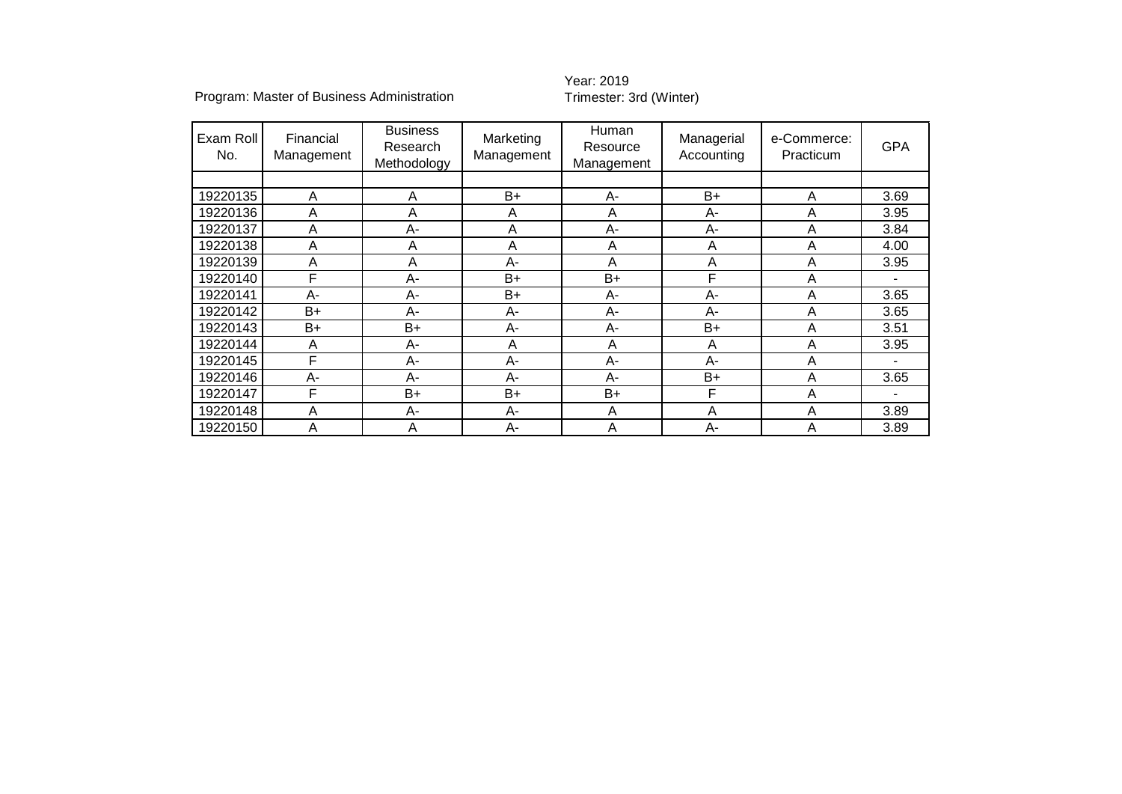| Exam Roll<br>No. | Financial<br>Management | <b>Business</b><br>Research<br>Methodology | Human<br>Marketing<br>Resource<br>Management<br>Management |      | Managerial<br>Accounting | e-Commerce:<br>Practicum | <b>GPA</b> |
|------------------|-------------------------|--------------------------------------------|------------------------------------------------------------|------|--------------------------|--------------------------|------------|
|                  |                         |                                            |                                                            |      |                          |                          |            |
| 19220135         | Α                       | A                                          | B+                                                         | A-   | $B+$                     | A                        | 3.69       |
| 19220136         | A                       | A                                          | A                                                          | A    | A-                       | A                        | 3.95       |
| 19220137         | A                       | A-                                         | A                                                          | A-   | A-                       | A                        | 3.84       |
| 19220138         | A                       | A                                          | A                                                          | A    | A                        | A                        | 4.00       |
| 19220139         | A                       | Α                                          | A-                                                         | A    | A                        | A                        | 3.95       |
| 19220140         | F                       | A-                                         | B+                                                         | $B+$ | F                        | Α                        |            |
| 19220141         | A-                      | A-                                         | B+                                                         | A-   | A-                       | A                        | 3.65       |
| 19220142         | B+                      | A-                                         | A-                                                         | A-   | A-                       | Α                        | 3.65       |
| 19220143         | $B+$                    | B+                                         | A-                                                         | А-   | $B+$                     | A                        | 3.51       |
| 19220144         | A                       | A-                                         | Α                                                          | A    | A                        | Α                        | 3.95       |
| 19220145         | F                       | $A -$                                      | A-                                                         | A-   | $A -$                    | A                        |            |
| 19220146         | А-                      | A-                                         | А-                                                         | А-   | B+                       | A                        | 3.65       |
| 19220147         | F                       | $B+$                                       | $B+$                                                       | $B+$ | F                        | A                        |            |
| 19220148         | Α                       | A-                                         | A-                                                         | A    | A                        | A                        | 3.89       |
| 19220150         | Α                       | Α                                          | A-                                                         | A    | $A -$                    | A                        | 3.89       |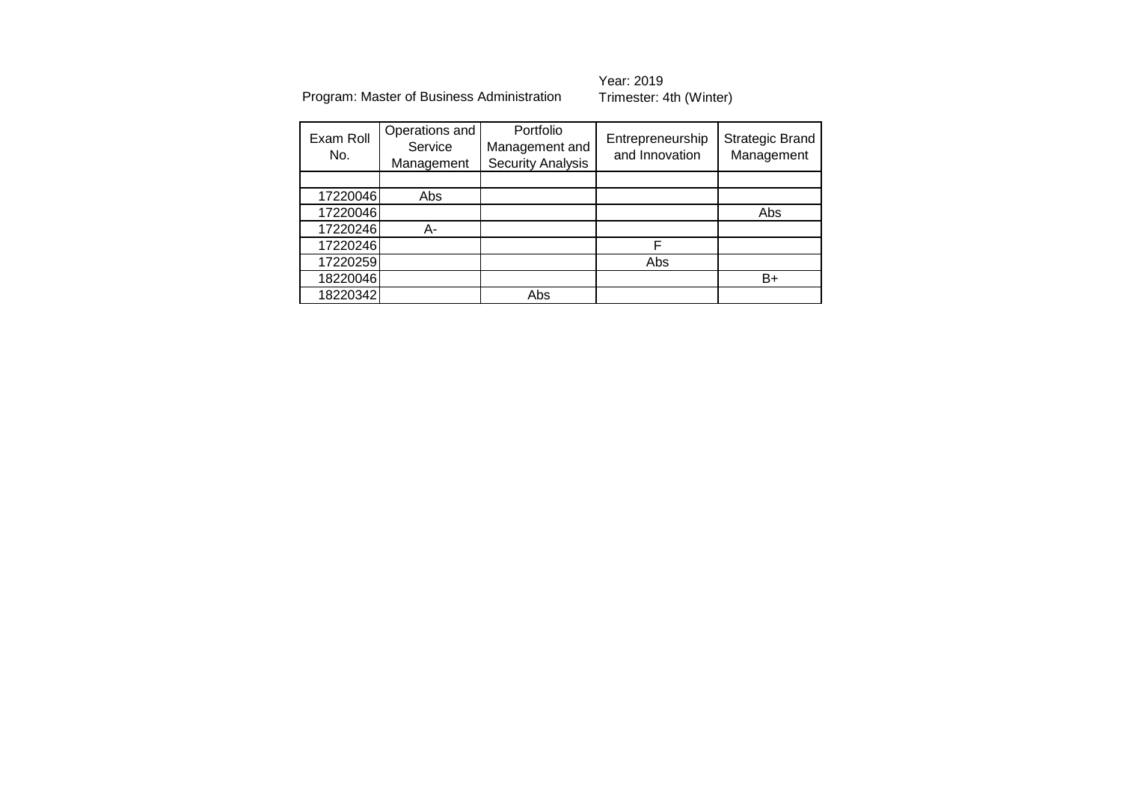| Exam Roll<br>No. | Operations and<br>Service<br>Management | Portfolio<br>Management and<br><b>Security Analysis</b> | Entrepreneurship<br>and Innovation | <b>Strategic Brand</b><br>Management |
|------------------|-----------------------------------------|---------------------------------------------------------|------------------------------------|--------------------------------------|
|                  |                                         |                                                         |                                    |                                      |
| 17220046         | Abs                                     |                                                         |                                    |                                      |
| 17220046         |                                         |                                                         |                                    | Abs                                  |
| 17220246         | А-                                      |                                                         |                                    |                                      |
| 17220246         |                                         |                                                         |                                    |                                      |
| 17220259         |                                         |                                                         | Abs                                |                                      |
| 18220046         |                                         |                                                         |                                    | B+                                   |
| 18220342         |                                         | Abs                                                     |                                    |                                      |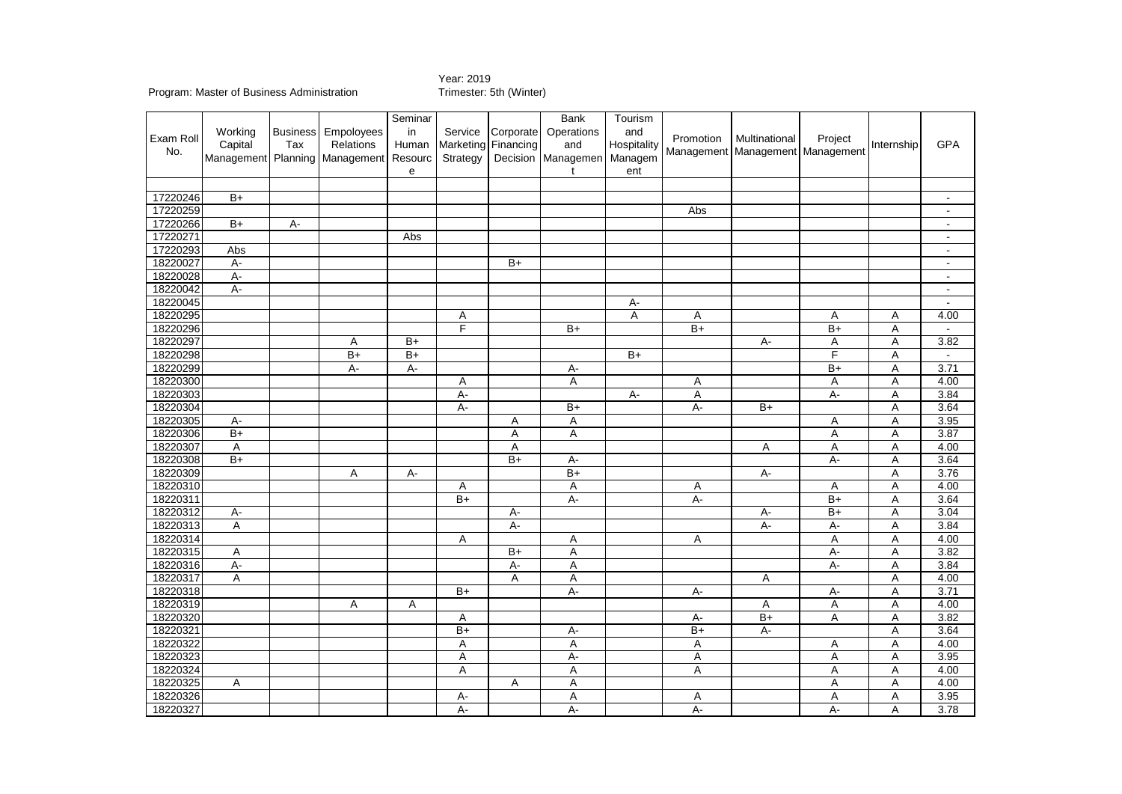|                  |         |                 |                                | Seminar |                |                 | Bank               | Tourism     |                 |                                      |                 |            |                |
|------------------|---------|-----------------|--------------------------------|---------|----------------|-----------------|--------------------|-------------|-----------------|--------------------------------------|-----------------|------------|----------------|
|                  | Working | <b>Business</b> | Empoloyees                     | in      | Service        | Corporate       | Operations         | and         |                 |                                      |                 |            |                |
| Exam Roll<br>No. | Capital | Tax             | <b>Relations</b>               | Human   | Marketing      | Financing       | and                | Hospitality | Promotion       | Multinational                        | Project         | Internship | <b>GPA</b>     |
|                  |         |                 | Management Planning Management | Resourc | Strategy       |                 | Decision Managemen | Managem     |                 | Management   Management   Management |                 |            |                |
|                  |         |                 |                                | e       |                |                 | t                  | ent         |                 |                                      |                 |            |                |
|                  |         |                 |                                |         |                |                 |                    |             |                 |                                      |                 |            |                |
| 17220246         | $B+$    |                 |                                |         |                |                 |                    |             |                 |                                      |                 |            | $\sim$         |
| 17220259         |         |                 |                                |         |                |                 |                    |             | Abs             |                                      |                 |            | $\sim$         |
| 17220266         | $B+$    | А-              |                                |         |                |                 |                    |             |                 |                                      |                 |            | $\sim$         |
| 17220271         |         |                 |                                | Abs     |                |                 |                    |             |                 |                                      |                 |            | $\sim$         |
| 17220293         | Abs     |                 |                                |         |                |                 |                    |             |                 |                                      |                 |            | $\sim$         |
| 18220027         | $A -$   |                 |                                |         |                | $\overline{B+}$ |                    |             |                 |                                      |                 |            | $\blacksquare$ |
| 18220028         | $A -$   |                 |                                |         |                |                 |                    |             |                 |                                      |                 |            | $\blacksquare$ |
| 18220042         | $A -$   |                 |                                |         |                |                 |                    |             |                 |                                      |                 |            | $\sim$         |
| 18220045         |         |                 |                                |         |                |                 |                    | A-          |                 |                                      |                 |            | $\blacksquare$ |
| 18220295         |         |                 |                                |         | Α              |                 |                    | Α           | Α               |                                      | Α               | Α          | 4.00           |
| 18220296         |         |                 |                                |         | F              |                 | $B+$               |             | $B+$            |                                      | $B+$            | A          | $\sim$         |
| 18220297         |         |                 | Α                              | $B+$    |                |                 |                    |             |                 | А-                                   | Α               | A          | 3.82           |
| 18220298         |         |                 | $\overline{B+}$                | $B+$    |                |                 |                    | $B+$        |                 |                                      | F               | Α          | $\mathbf{r}$   |
| 18220299         |         |                 | $A -$                          | $A -$   |                |                 | A-                 |             |                 |                                      | $\overline{B+}$ | Α          | 3.71           |
| 18220300         |         |                 |                                |         | Α              |                 | A                  |             | Α               |                                      | Α               | Α          | 4.00           |
| 18220303         |         |                 |                                |         | $A -$          |                 |                    | $A-$        | Α               |                                      | $\overline{A}$  | A          | 3.84           |
| 18220304         |         |                 |                                |         | $A -$          |                 | $B+$               |             | $A -$           | $B+$                                 |                 | A          | 3.64           |
| 18220305         | A-      |                 |                                |         |                | Α               | Α                  |             |                 |                                      | Α               | Α          | 3.95           |
| 18220306         | $B+$    |                 |                                |         |                | A               | A                  |             |                 |                                      | A               | A          | 3.87           |
| 18220307         | Α       |                 |                                |         |                | Α               |                    |             |                 | Α                                    | A               | Α          | 4.00           |
| 18220308         | $B+$    |                 |                                |         |                | $B+$            | А-                 |             |                 |                                      | А-              | A          | 3.64           |
| 18220309         |         |                 | A                              | $A -$   |                |                 | $B+$               |             |                 | $A -$                                |                 | Α          | 3.76           |
| 18220310         |         |                 |                                |         | Α              |                 | Α                  |             | Α               |                                      | Α               | Α          | 4.00           |
| 18220311         |         |                 |                                |         | $B+$           |                 | $A -$              |             | $A -$           |                                      | $B+$            | A          | 3.64           |
| 18220312         | A-      |                 |                                |         |                | A-              |                    |             |                 | А-                                   | $B+$            | A          | 3.04           |
| 18220313         | Α       |                 |                                |         |                | $A -$           |                    |             |                 | $A -$                                | А-              | Α          | 3.84           |
| 18220314         |         |                 |                                |         | Α              |                 | Α                  |             | Α               |                                      | Α               | A          | 4.00           |
| 18220315         | Α       |                 |                                |         |                | $B+$            | $\overline{A}$     |             |                 |                                      | $A -$           | A          | 3.82           |
| 18220316         | A-      |                 |                                |         |                | A-              | Α                  |             |                 |                                      | А-              | A          | 3.84           |
| 18220317         | A       |                 |                                |         |                | Α               | A                  |             |                 | Α                                    |                 | Α          | 4.00           |
| 18220318         |         |                 |                                |         | $B+$           |                 | $A -$              |             | A-              |                                      | A-              | Α          | 3.71           |
| 18220319         |         |                 | Α                              | А       |                |                 |                    |             |                 | Α                                    | A               | A          | 4.00           |
| 18220320         |         |                 |                                |         | Α              |                 |                    |             | А-              | $B+$                                 | A               | A          | 3.82           |
| 18220321         |         |                 |                                |         | $B+$           |                 | A-                 |             | $\overline{B+}$ | $A -$                                |                 | Α          | 3.64           |
| 18220322         |         |                 |                                |         | A              |                 | A                  |             | A               |                                      | Α               | A          | 4.00           |
| 18220323         |         |                 |                                |         | A              |                 | $A -$              |             | $\mathsf A$     |                                      | A               | A          | 3.95           |
| 18220324         |         |                 |                                |         | Α              |                 | Α                  |             | Α               |                                      | Α               | A          | 4.00           |
| 18220325         | Α       |                 |                                |         |                | Α               | A                  |             |                 |                                      | A               | A          | 4.00           |
| 18220326         |         |                 |                                |         | A-             |                 | Α                  |             | Α               |                                      | Α               | Α          | 3.95           |
| 18220327         |         |                 |                                |         | $\overline{A}$ |                 | $A -$              |             | $\overline{A}$  |                                      | $\overline{A}$  | A          | 3.78           |